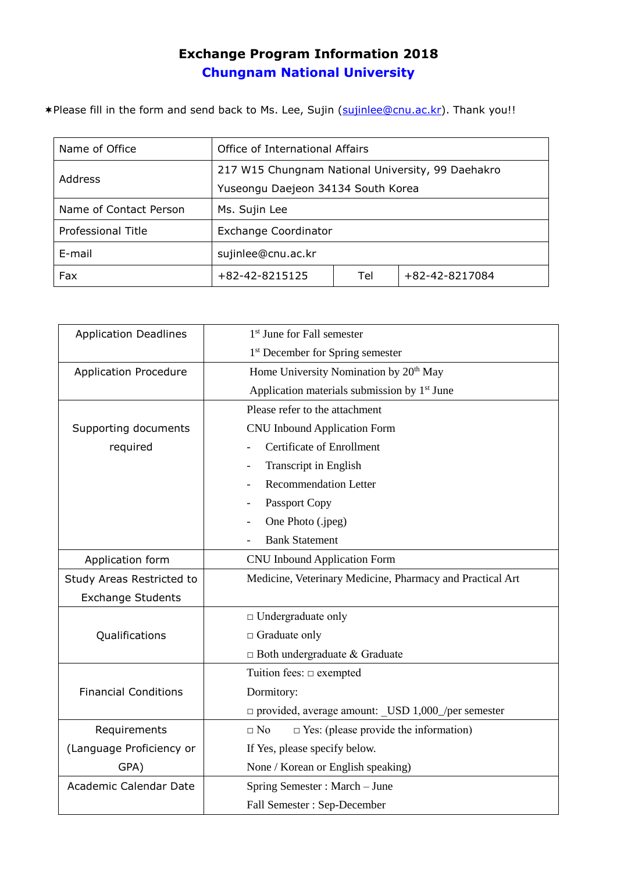## **Exchange Program Information 2018 Chungnam National University**

\*Please fill in the form and send back to Ms. Lee, Sujin [\(sujinlee@cnu.ac.kr\)](mailto:sujinlee@cnu.ac.kr). Thank you!!

| Name of Office         | Office of International Affairs                   |     |                |
|------------------------|---------------------------------------------------|-----|----------------|
| <b>Address</b>         | 217 W15 Chungnam National University, 99 Daehakro |     |                |
|                        | Yuseongu Daejeon 34134 South Korea                |     |                |
| Name of Contact Person | Ms. Sujin Lee                                     |     |                |
| Professional Title     | <b>Exchange Coordinator</b>                       |     |                |
| E-mail                 | sujinlee@cnu.ac.kr                                |     |                |
| Fax                    | $+82-42-8215125$                                  | Tel | +82-42-8217084 |

| <b>Application Deadlines</b> | 1 <sup>st</sup> June for Fall semester                    |  |  |
|------------------------------|-----------------------------------------------------------|--|--|
|                              | 1 <sup>st</sup> December for Spring semester              |  |  |
| <b>Application Procedure</b> | Home University Nomination by 20 <sup>th</sup> May        |  |  |
|                              | Application materials submission by 1 <sup>st</sup> June  |  |  |
|                              | Please refer to the attachment                            |  |  |
| Supporting documents         | <b>CNU Inbound Application Form</b>                       |  |  |
| required                     | <b>Certificate of Enrollment</b>                          |  |  |
|                              | Transcript in English                                     |  |  |
|                              | <b>Recommendation Letter</b>                              |  |  |
|                              | Passport Copy                                             |  |  |
|                              | One Photo (.jpeg)                                         |  |  |
|                              | <b>Bank Statement</b>                                     |  |  |
| Application form             | <b>CNU Inbound Application Form</b>                       |  |  |
| Study Areas Restricted to    | Medicine, Veterinary Medicine, Pharmacy and Practical Art |  |  |
|                              |                                                           |  |  |
| <b>Exchange Students</b>     |                                                           |  |  |
|                              | $\Box$ Undergraduate only                                 |  |  |
| Qualifications               | □ Graduate only                                           |  |  |
|                              | $\Box$ Both undergraduate & Graduate                      |  |  |
|                              | Tuition fees: $\Box$ exempted                             |  |  |
| <b>Financial Conditions</b>  | Dormitory:                                                |  |  |
|                              | □ provided, average amount: _USD 1,000_/per semester      |  |  |
| Requirements                 | $\Box$ No<br>$\Box$ Yes: (please provide the information) |  |  |
| (Language Proficiency or     | If Yes, please specify below.                             |  |  |
| GPA)                         | None / Korean or English speaking)                        |  |  |
| Academic Calendar Date       | Spring Semester : March - June                            |  |  |